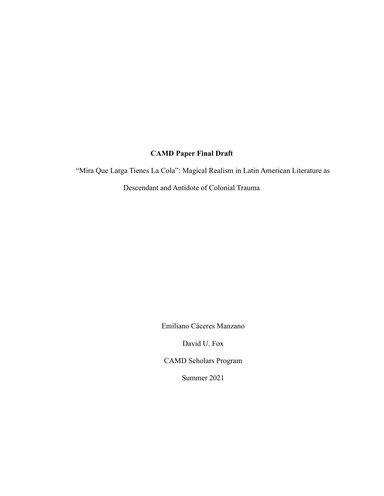# **CAMD Paper Final Draft**

"Mira Que Larga Tienes La Cola": Magical Realism in Latin American Literature as

Descendant and Antidote of Colonial Trauma

Emiliano Cáceres Manzano

David U. Fox

CAMD Scholars Program

Summer 2021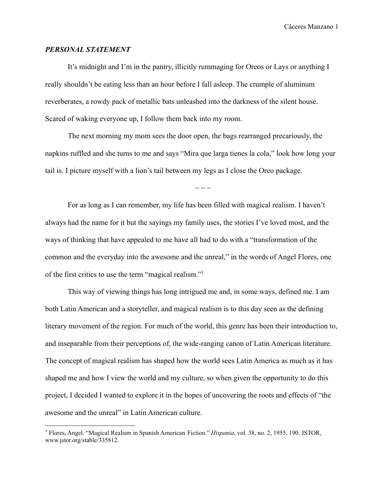#### *PERSONAL STATEMENT*

It's midnight and I'm in the pantry, illicitly rummaging for Oreos or Lays or anything I really shouldn't be eating less than an hour before I fall asleep. The crumple of aluminum reverberates, a rowdy pack of metallic bats unleashed into the darkness of the silent house. Scared of waking everyone up, I follow them back into my room.

The next morning my mom sees the door open, the bags rearranged precariously, the napkins ruffled and she turns to me and says "Mira que larga tienes la cola," look how long your tail is. I picture myself with a lion's tail between my legs as I close the Oreo package.

 $\sim$  ~ ~

For as long as I can remember, my life has been filled with magical realism. I haven't always had the name for it but the sayings my family uses, the stories I've loved most, and the ways of thinking that have appealed to me have all had to do with a "transformation of the common and the everyday into the awesome and the unreal," in the words of Angel Flores, one of the first critics to use the term "magical realism."<sup>1</sup>

This way of viewing things has long intrigued me and, in some ways, defined me. I am both Latin American and a storyteller, and magical realism is to this day seen as the defining literary movement of the region. For much of the world, this genre has been their introduction to, and inseparable from their perceptions of, the wide-ranging canon of Latin American literature. The concept of magical realism has shaped how the world sees Latin America as much as it has shaped me and how I view the world and my culture, so when given the opportunity to do this project, I decided I wanted to explore it in the hopes of uncovering the roots and effects of "the awesome and the unreal" in Latin American culture.

<sup>1</sup> Flores, Angel. "Magical Realism in Spanish American Fiction." *Hispania*, vol. 38, no. 2, 1955, 190. JSTOR, www.jstor.org/stable/335812.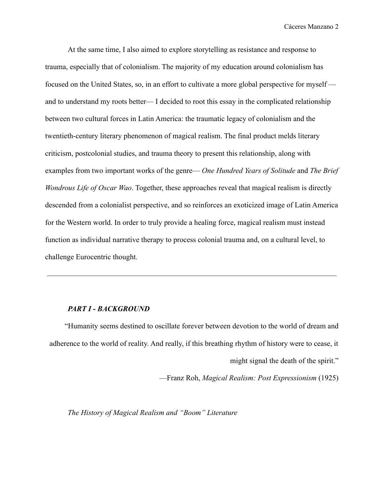At the same time, I also aimed to explore storytelling as resistance and response to trauma, especially that of colonialism. The majority of my education around colonialism has focused on the United States, so, in an effort to cultivate a more global perspective for myself and to understand my roots better— I decided to root this essay in the complicated relationship between two cultural forces in Latin America: the traumatic legacy of colonialism and the twentieth-century literary phenomenon of magical realism. The final product melds literary criticism, postcolonial studies, and trauma theory to present this relationship, along with examples from two important works of the genre— *One Hundred Years of Solitude* and *The Brief Wondrous Life of Oscar Wao*. Together, these approaches reveal that magical realism is directly descended from a colonialist perspective, and so reinforces an exoticized image of Latin America for the Western world. In order to truly provide a healing force, magical realism must instead function as individual narrative therapy to process colonial trauma and, on a cultural level, to challenge Eurocentric thought.

#### *PART I - BACKGROUND*

"Humanity seems destined to oscillate forever between devotion to the world of dream and adherence to the world of reality. And really, if this breathing rhythm of history were to cease, it might signal the death of the spirit."

—Franz Roh, *Magical Realism: Post Expressionism* (1925)

*The History of Magical Realism and "Boom" Literature*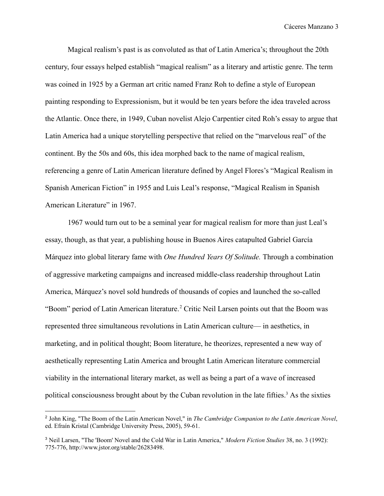Magical realism's past is as convoluted as that of Latin America's; throughout the 20th century, four essays helped establish "magical realism" as a literary and artistic genre. The term was coined in 1925 by a German art critic named Franz Roh to define a style of European painting responding to Expressionism, but it would be ten years before the idea traveled across the Atlantic. Once there, in 1949, Cuban novelist Alejo Carpentier cited Roh's essay to argue that Latin America had a unique storytelling perspective that relied on the "marvelous real" of the continent. By the 50s and 60s, this idea morphed back to the name of magical realism, referencing a genre of Latin American literature defined by Angel Flores's "Magical Realism in Spanish American Fiction" in 1955 and Luis Leal's response, "Magical Realism in Spanish American Literature" in 1967.

1967 would turn out to be a seminal year for magical realism for more than just Leal's essay, though, as that year, a publishing house in Buenos Aires catapulted Gabriel García Márquez into global literary fame with *One Hundred Years Of Solitude.* Through a combination of aggressive marketing campaigns and increased middle-class readership throughout Latin America, Márquez's novel sold hundreds of thousands of copies and launched the so-called "Boom" period of Latin American literature.<sup>2</sup> Critic Neil Larsen points out that the Boom was represented three simultaneous revolutions in Latin American culture— in aesthetics, in marketing, and in political thought; Boom literature, he theorizes, represented a new way of aesthetically representing Latin America and brought Latin American literature commercial viability in the international literary market, as well as being a part of a wave of increased political consciousness brought about by the Cuban revolution in the late fifties.<sup>3</sup> As the sixties

<sup>2</sup> John King, "The Boom of the Latin American Novel," in *The Cambridge Companion to the Latin American Novel*, ed. Efraín Kristal (Cambridge University Press, 2005), 59-61.

<sup>3</sup> Neil Larsen, "The 'Boom' Novel and the Cold War in Latin America," *Modern Fiction Studies* 38, no. 3 (1992): 775-776, http://www.jstor.org/stable/26283498.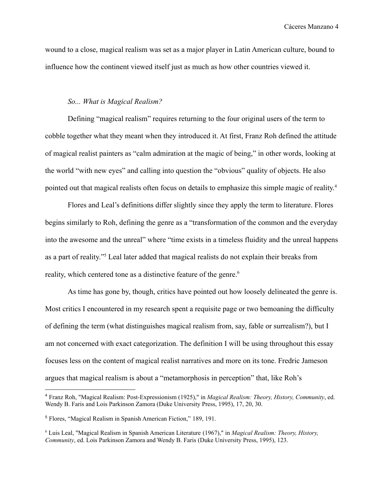wound to a close, magical realism was set as a major player in Latin American culture, bound to influence how the continent viewed itself just as much as how other countries viewed it.

#### *So... What is Magical Realism?*

Defining "magical realism" requires returning to the four original users of the term to cobble together what they meant when they introduced it. At first, Franz Roh defined the attitude of magical realist painters as "calm admiration at the magic of being," in other words, looking at the world "with new eyes" and calling into question the "obvious" quality of objects. He also pointed out that magical realists often focus on details to emphasize this simple magic of reality.<sup>4</sup>

Flores and Leal's definitions differ slightly since they apply the term to literature. Flores begins similarly to Roh, defining the genre as a "transformation of the common and the everyday into the awesome and the unreal" where "time exists in a timeless fluidity and the unreal happens as a part of reality."<sup>5</sup> Leal later added that magical realists do not explain their breaks from reality, which centered tone as a distinctive feature of the genre.<sup>6</sup>

As time has gone by, though, critics have pointed out how loosely delineated the genre is. Most critics I encountered in my research spent a requisite page or two bemoaning the difficulty of defining the term (what distinguishes magical realism from, say, fable or surrealism?), but I am not concerned with exact categorization. The definition I will be using throughout this essay focuses less on the content of magical realist narratives and more on its tone. Fredric Jameson argues that magical realism is about a "metamorphosis in perception" that, like Roh's

<sup>4</sup> Franz Roh, "Magical Realism: Post-Expressionism (1925)," in *Magical Realism: Theory, History, Community*, ed. Wendy B. Faris and Lois Parkinson Zamora (Duke University Press, 1995), 17, 20, 30.

<sup>5</sup> Flores, "Magical Realism in Spanish American Fiction," 189, 191.

<sup>6</sup> Luis Leal, "Magical Realism in Spanish American Literature (1967)," in *Magical Realism: Theory, History, Community*, ed. Lois Parkinson Zamora and Wendy B. Faris (Duke University Press, 1995), 123.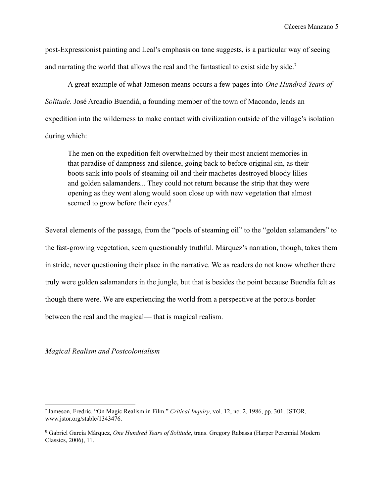post-Expressionist painting and Leal's emphasis on tone suggests, is a particular way of seeing and narrating the world that allows the real and the fantastical to exist side by side.<sup>7</sup>

A great example of what Jameson means occurs a few pages into *One Hundred Years of Solitude*. José Arcadio Buendiá, a founding member of the town of Macondo, leads an expedition into the wilderness to make contact with civilization outside of the village's isolation during which:

The men on the expedition felt overwhelmed by their most ancient memories in that paradise of dampness and silence, going back to before original sin, as their boots sank into pools of steaming oil and their machetes destroyed bloody lilies and golden salamanders... They could not return because the strip that they were opening as they went along would soon close up with new vegetation that almost seemed to grow before their eyes.<sup>8</sup>

Several elements of the passage, from the "pools of steaming oil" to the "golden salamanders" to the fast-growing vegetation, seem questionably truthful. Márquez's narration, though, takes them in stride, never questioning their place in the narrative. We as readers do not know whether there truly were golden salamanders in the jungle, but that is besides the point because Buendía felt as though there were. We are experiencing the world from a perspective at the porous border between the real and the magical— that is magical realism.

*Magical Realism and Postcolonialism*

<sup>7</sup> Jameson, Fredric. "On Magic Realism in Film." *Critical Inquiry*, vol. 12, no. 2, 1986, pp. 301. JSTOR, www.jstor.org/stable/1343476.

<sup>8</sup> Gabriel García Márquez, *One Hundred Years of Solitude*, trans. Gregory Rabassa (Harper Perennial Modern Classics, 2006), 11.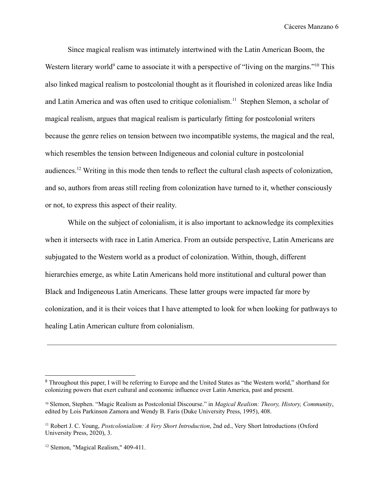Since magical realism was intimately intertwined with the Latin American Boom, the Western literary world<sup>9</sup> came to associate it with a perspective of "living on the margins."<sup>10</sup> This also linked magical realism to postcolonial thought as it flourished in colonized areas like India and Latin America and was often used to critique colonialism.<sup>11</sup> Stephen Slemon, a scholar of magical realism, argues that magical realism is particularly fitting for postcolonial writers because the genre relies on tension between two incompatible systems, the magical and the real, which resembles the tension between Indigeneous and colonial culture in postcolonial audiences.<sup>12</sup> Writing in this mode then tends to reflect the cultural clash aspects of colonization, and so, authors from areas still reeling from colonization have turned to it, whether consciously or not, to express this aspect of their reality.

While on the subject of colonialism, it is also important to acknowledge its complexities when it intersects with race in Latin America. From an outside perspective, Latin Americans are subjugated to the Western world as a product of colonization. Within, though, different hierarchies emerge, as white Latin Americans hold more institutional and cultural power than Black and Indigeneous Latin Americans. These latter groups were impacted far more by colonization, and it is their voices that I have attempted to look for when looking for pathways to healing Latin American culture from colonialism.

<sup>&</sup>lt;sup>9</sup> Throughout this paper, I will be referring to Europe and the United States as "the Western world," shorthand for colonizing powers that exert cultural and economic influence over Latin America, past and present.

<sup>10</sup> Slemon, Stephen. "Magic Realism as Postcolonial Discourse." in *Magical Realism: Theory, History, Community*, edited by Lois Parkinson Zamora and Wendy B. Faris (Duke University Press, 1995), 408.

<sup>11</sup> Robert J. C. Young, *Postcolonialism: A Very Short Introduction*, 2nd ed., Very Short Introductions (Oxford University Press, 2020), 3.

<sup>12</sup> Slemon, "Magical Realism," 409-411.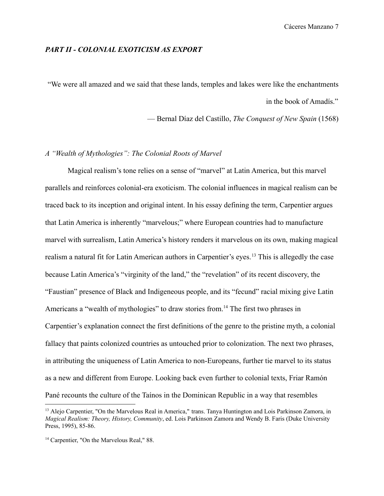#### *PART II - COLONIAL EXOTICISM AS EXPORT*

"We were all amazed and we said that these lands, temples and lakes were like the enchantments in the book of Amadís."

— Bernal Díaz del Castillo, *The Conquest of New Spain* (1568)

### *A "Wealth of Mythologies": The Colonial Roots of Marvel*

Magical realism's tone relies on a sense of "marvel" at Latin America, but this marvel parallels and reinforces colonial-era exoticism. The colonial influences in magical realism can be traced back to its inception and original intent. In his essay defining the term, Carpentier argues that Latin America is inherently "marvelous;" where European countries had to manufacture marvel with surrealism, Latin America's history renders it marvelous on its own, making magical realism a natural fit for Latin American authors in Carpentier's eyes.<sup>13</sup> This is allegedly the case because Latin America's "virginity of the land," the "revelation" of its recent discovery, the "Faustian" presence of Black and Indigeneous people, and its "fecund" racial mixing give Latin Americans a "wealth of mythologies" to draw stories from.<sup>14</sup> The first two phrases in Carpentier's explanation connect the first definitions of the genre to the pristine myth, a colonial fallacy that paints colonized countries as untouched prior to colonization. The next two phrases, in attributing the uniqueness of Latin America to non-Europeans, further tie marvel to its status as a new and different from Europe. Looking back even further to colonial texts, Friar Ramón Pané recounts the culture of the Taínos in the Dominican Republic in a way that resembles

<sup>&</sup>lt;sup>13</sup> Alejo Carpentier, "On the Marvelous Real in America," trans. Tanya Huntington and Lois Parkinson Zamora, in *Magical Realism: Theory, History, Community*, ed. Lois Parkinson Zamora and Wendy B. Faris (Duke University Press, 1995), 85-86.

<sup>&</sup>lt;sup>14</sup> Carpentier, "On the Marvelous Real," 88.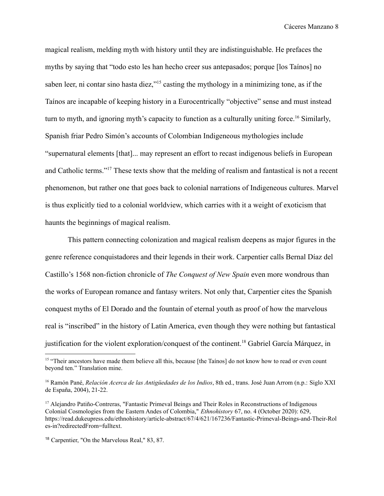magical realism, melding myth with history until they are indistinguishable. He prefaces the myths by saying that "todo esto les han hecho creer sus antepasados; porque [los Taínos] no saben leer, ni contar sino hasta diez,"<sup>15</sup> casting the mythology in a minimizing tone, as if the Taínos are incapable of keeping history in a Eurocentrically "objective" sense and must instead turn to myth, and ignoring myth's capacity to function as a culturally uniting force.<sup>16</sup> Similarly, Spanish friar Pedro Simón's accounts of Colombian Indigeneous mythologies include "supernatural elements [that]... may represent an effort to recast indigenous beliefs in European and Catholic terms."<sup>17</sup> These texts show that the melding of realism and fantastical is not a recent phenomenon, but rather one that goes back to colonial narrations of Indigeneous cultures. Marvel is thus explicitly tied to a colonial worldview, which carries with it a weight of exoticism that haunts the beginnings of magical realism.

This pattern connecting colonization and magical realism deepens as major figures in the genre reference conquistadores and their legends in their work. Carpentier calls Bernal Díaz del Castillo's 1568 non-fiction chronicle of *The Conquest of New Spain* even more wondrous than the works of European romance and fantasy writers. Not only that, Carpentier cites the Spanish conquest myths of El Dorado and the fountain of eternal youth as proof of how the marvelous real is "inscribed" in the history of Latin America, even though they were nothing but fantastical justification for the violent exploration/conquest of the continent.<sup>18</sup> Gabriel García Márquez, in

<sup>&</sup>lt;sup>15</sup> "Their ancestors have made them believe all this, because [the Taínos] do not know how to read or even count beyond ten." Translation mine.

<sup>16</sup> Ramón Pané, *Relación Acerca de las Antigüedades de los Indios*, 8th ed., trans. José Juan Arrom (n.p.: Siglo XXI de España, 2004), 21-22.

<sup>&</sup>lt;sup>17</sup> Alejandro Patiño-Contreras, "Fantastic Primeval Beings and Their Roles in Reconstructions of Indigenous Colonial Cosmologies from the Eastern Andes of Colombia," *Ethnohistory* 67, no. 4 (October 2020): 629, https://read.dukeupress.edu/ethnohistory/article-abstract/67/4/621/167236/Fantastic-Primeval-Beings-and-Their-Rol es-in?redirectedFrom=fulltext.

<sup>18</sup> Carpentier, "On the Marvelous Real," 83, 87.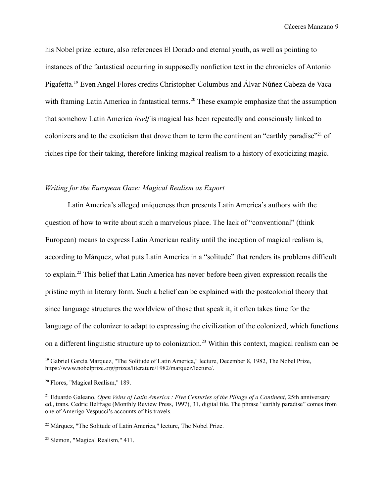his Nobel prize lecture, also references El Dorado and eternal youth, as well as pointing to instances of the fantastical occurring in supposedly nonfiction text in the chronicles of Antonio Pigafetta.<sup>19</sup> Even Angel Flores credits Christopher Columbus and Álvar Núñez Cabeza de Vaca with framing Latin America in fantastical terms.<sup>20</sup> These example emphasize that the assumption that somehow Latin America *itself* is magical has been repeatedly and consciously linked to colonizers and to the exoticism that drove them to term the continent an "earthly paradise"<sup>21</sup> of riches ripe for their taking, therefore linking magical realism to a history of exoticizing magic.

## *Writing for the European Gaze: Magical Realism as Export*

Latin America's alleged uniqueness then presents Latin America's authors with the question of how to write about such a marvelous place. The lack of "conventional" (think European) means to express Latin American reality until the inception of magical realism is, according to Márquez, what puts Latin America in a "solitude" that renders its problems difficult to explain.<sup>22</sup> This belief that Latin America has never before been given expression recalls the pristine myth in literary form. Such a belief can be explained with the postcolonial theory that since language structures the worldview of those that speak it, it often takes time for the language of the colonizer to adapt to expressing the civilization of the colonized, which functions on a different linguistic structure up to colonization.<sup>23</sup> Within this context, magical realism can be

<sup>&</sup>lt;sup>19</sup> Gabriel García Márquez, "The Solitude of Latin America," lecture, December 8, 1982, The Nobel Prize, https://www.nobelprize.org/prizes/literature/1982/marquez/lecture/.

<sup>20</sup> Flores, "Magical Realism," 189.

<sup>21</sup> Eduardo Galeano, *Open Veins of Latin America : Five Centuries of the Pillage of a Continent*, 25th anniversary ed., trans. Cedric Belfrage (Monthly Review Press, 1997), 31, digital file. The phrase "earthly paradise" comes from one of Amerigo Vespucci's accounts of his travels.

<sup>22</sup> Márquez, "The Solitude of Latin America," lecture, The Nobel Prize.

<sup>23</sup> Slemon, "Magical Realism," 411.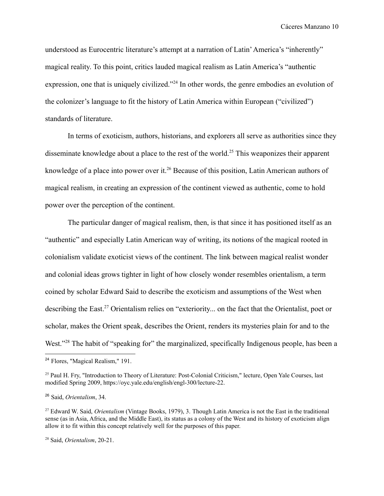understood as Eurocentric literature's attempt at a narration of Latin'America's "inherently" magical reality. To this point, critics lauded magical realism as Latin America's "authentic expression, one that is uniquely civilized."<sup>24</sup> In other words, the genre embodies an evolution of the colonizer's language to fit the history of Latin America within European ("civilized") standards of literature.

In terms of exoticism, authors, historians, and explorers all serve as authorities since they disseminate knowledge about a place to the rest of the world.<sup>25</sup> This weaponizes their apparent knowledge of a place into power over it.<sup>26</sup> Because of this position, Latin American authors of magical realism, in creating an expression of the continent viewed as authentic, come to hold power over the perception of the continent.

The particular danger of magical realism, then, is that since it has positioned itself as an "authentic" and especially Latin American way of writing, its notions of the magical rooted in colonialism validate exoticist views of the continent. The link between magical realist wonder and colonial ideas grows tighter in light of how closely wonder resembles orientalism, a term coined by scholar Edward Said to describe the exoticism and assumptions of the West when describing the East.<sup>27</sup> Orientalism relies on "exteriority... on the fact that the Orientalist, poet or scholar, makes the Orient speak, describes the Orient, renders its mysteries plain for and to the West."<sup>28</sup> The habit of "speaking for" the marginalized, specifically Indigenous people, has been a

<sup>24</sup> Flores, "Magical Realism," 191.

<sup>&</sup>lt;sup>25</sup> Paul H. Fry, "Introduction to Theory of Literature: Post-Colonial Criticism," lecture, Open Yale Courses, last modified Spring 2009, https://oyc.yale.edu/english/engl-300/lecture-22.

<sup>26</sup> Said, *Orientalism*, 34.

<sup>27</sup> Edward W. Said, *Orientalism* (Vintage Books, 1979), 3. Though Latin America is not the East in the traditional sense (as in Asia, Africa, and the Middle East), its status as a colony of the West and its history of exoticism align allow it to fit within this concept relatively well for the purposes of this paper.

<sup>28</sup> Said, *Orientalism*, 20-21.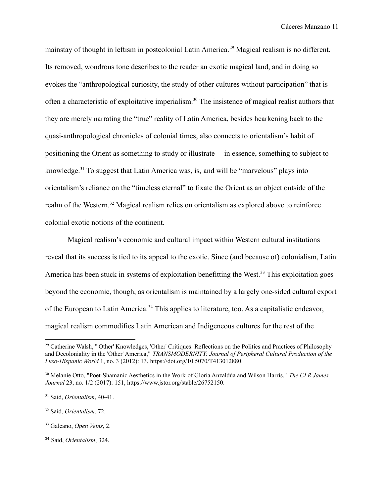mainstay of thought in leftism in postcolonial Latin America.<sup>29</sup> Magical realism is no different. Its removed, wondrous tone describes to the reader an exotic magical land, and in doing so evokes the "anthropological curiosity, the study of other cultures without participation" that is often a characteristic of exploitative imperialism.<sup>30</sup> The insistence of magical realist authors that they are merely narrating the "true" reality of Latin America, besides hearkening back to the quasi-anthropological chronicles of colonial times, also connects to orientalism's habit of positioning the Orient as something to study or illustrate— in essence, something to subject to knowledge.<sup>31</sup> To suggest that Latin America was, is, and will be "marvelous" plays into orientalism's reliance on the "timeless eternal" to fixate the Orient as an object outside of the realm of the Western.<sup>32</sup> Magical realism relies on orientalism as explored above to reinforce colonial exotic notions of the continent.

Magical realism's economic and cultural impact within Western cultural institutions reveal that its success is tied to its appeal to the exotic. Since (and because of) colonialism, Latin America has been stuck in systems of exploitation benefitting the West.<sup>33</sup> This exploitation goes beyond the economic, though, as orientalism is maintained by a largely one-sided cultural export of the European to Latin America.<sup>34</sup> This applies to literature, too. As a capitalistic endeavor, magical realism commodifies Latin American and Indigeneous cultures for the rest of the

<sup>&</sup>lt;sup>29</sup> Catherine Walsh, "'Other' Knowledges, 'Other' Critiques: Reflections on the Politics and Practices of Philosophy and Decoloniality in the 'Other' America," *TRANSMODERNITY: Journal of Peripheral Cultural Production of the Luso-Hispanic World* 1, no. 3 (2012): 13, https://doi.org/10.5070/T413012880.

<sup>30</sup> Melanie Otto, "Poet-Shamanic Aesthetics in the Work of Gloria Anzaldúa and Wilson Harris," *The CLR James Journal* 23, no. 1/2 (2017): 151, https://www.jstor.org/stable/26752150.

<sup>31</sup> Said, *Orientalism*, 40-41.

<sup>32</sup> Said, *Orientalism*, 72.

<sup>33</sup> Galeano, *Open Veins*, 2.

<sup>34</sup> Said, *Orientalism*, 324.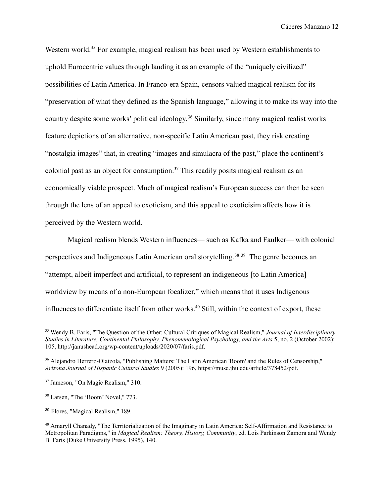Western world.<sup>35</sup> For example, magical realism has been used by Western establishments to uphold Eurocentric values through lauding it as an example of the "uniquely civilized" possibilities of Latin America. In Franco-era Spain, censors valued magical realism for its "preservation of what they defined as the Spanish language," allowing it to make its way into the country despite some works' political ideology. <sup>36</sup> Similarly, since many magical realist works feature depictions of an alternative, non-specific Latin American past, they risk creating "nostalgia images" that, in creating "images and simulacra of the past," place the continent's colonial past as an object for consumption.<sup>37</sup> This readily posits magical realism as an economically viable prospect. Much of magical realism's European success can then be seen through the lens of an appeal to exoticism, and this appeal to exoticisim affects how it is perceived by the Western world.

Magical realism blends Western influences— such as Kafka and Faulker— with colonial perspectives and Indigeneous Latin American oral storytelling.<sup>38</sup> <sup>39</sup> The genre becomes an "attempt, albeit imperfect and artificial, to represent an indigeneous [to Latin America] worldview by means of a non-European focalizer," which means that it uses Indigenous influences to differentiate itself from other works.<sup>40</sup> Still, within the context of export, these

<sup>35</sup> Wendy B. Faris, "The Question of the Other: Cultural Critiques of Magical Realism," *Journal of Interdisciplinary Studies in Literature, Continental Philosophy, Phenomenological Psychology, and the Arts* 5, no. 2 (October 2002): 105, http://janushead.org/wp-content/uploads/2020/07/faris.pdf.

<sup>36</sup> Alejandro Herrero-Olaizola, "Publishing Matters: The Latin American 'Boom' and the Rules of Censorship," *Arizona Journal of Hispanic Cultural Studies* 9 (2005): 196, https://muse.jhu.edu/article/378452/pdf.

<sup>37</sup> Jameson, "On Magic Realism," 310.

<sup>38</sup> Larsen, "The 'Boom' Novel," 773.

<sup>39</sup> Flores, "Magical Realism," 189.

<sup>&</sup>lt;sup>40</sup> Amaryll Chanady, "The Territorialization of the Imaginary in Latin America: Self-Affirmation and Resistance to Metropolitan Paradigms," in *Magical Realism: Theory, History, Community*, ed. Lois Parkinson Zamora and Wendy B. Faris (Duke University Press, 1995), 140.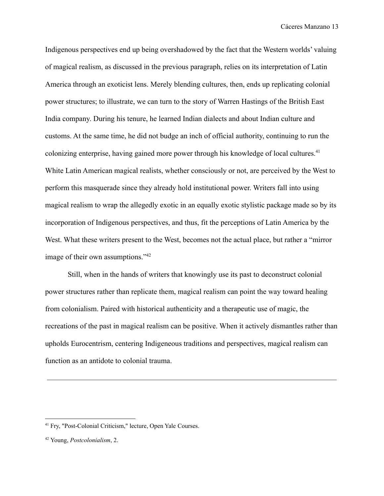Indigenous perspectives end up being overshadowed by the fact that the Western worlds' valuing of magical realism, as discussed in the previous paragraph, relies on its interpretation of Latin America through an exoticist lens. Merely blending cultures, then, ends up replicating colonial power structures; to illustrate, we can turn to the story of Warren Hastings of the British East India company. During his tenure, he learned Indian dialects and about Indian culture and customs. At the same time, he did not budge an inch of official authority, continuing to run the colonizing enterprise, having gained more power through his knowledge of local cultures.<sup>41</sup> White Latin American magical realists, whether consciously or not, are perceived by the West to perform this masquerade since they already hold institutional power. Writers fall into using magical realism to wrap the allegedly exotic in an equally exotic stylistic package made so by its incorporation of Indigenous perspectives, and thus, fit the perceptions of Latin America by the West. What these writers present to the West, becomes not the actual place, but rather a "mirror image of their own assumptions."<sup>42</sup>

Still, when in the hands of writers that knowingly use its past to deconstruct colonial power structures rather than replicate them, magical realism can point the way toward healing from colonialism. Paired with historical authenticity and a therapeutic use of magic, the recreations of the past in magical realism can be positive. When it actively dismantles rather than upholds Eurocentrism, centering Indigeneous traditions and perspectives, magical realism can function as an antidote to colonial trauma.

<sup>41</sup> Fry, "Post-Colonial Criticism," lecture, Open Yale Courses.

<sup>42</sup> Young, *Postcolonialism*, 2.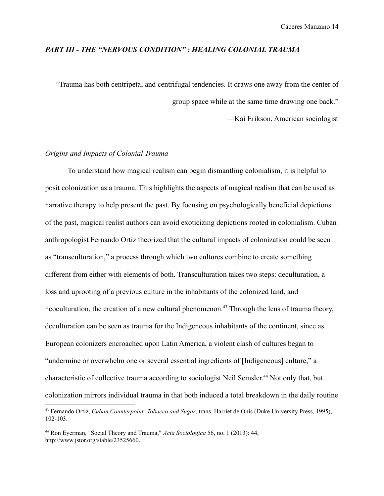#### *PART III - THE "NERVOUS CONDITION" : HEALING COLONIAL TRAUMA*

"Trauma has both centripetal and centrifugal tendencies. It draws one away from the center of group space while at the same time drawing one back."

—Kai Erikson, American sociologist

#### *Origins and Impacts of Colonial Trauma*

To understand how magical realism can begin dismantling colonialism, it is helpful to posit colonization as a trauma. This highlights the aspects of magical realism that can be used as narrative therapy to help present the past. By focusing on psychologically beneficial depictions of the past, magical realist authors can avoid exoticizing depictions rooted in colonialism. Cuban anthropologist Fernando Ortiz theorized that the cultural impacts of colonization could be seen as "transculturation," a process through which two cultures combine to create something different from either with elements of both. Transculturation takes two steps: deculturation, a loss and uprooting of a previous culture in the inhabitants of the colonized land, and neoculturation, the creation of a new cultural phenomenon.<sup>43</sup> Through the lens of trauma theory, deculturation can be seen as trauma for the Indigeneous inhabitants of the continent, since as European colonizers encroached upon Latin America, a violent clash of cultures began to "undermine or overwhelm one or several essential ingredients of [Indigeneous] culture," a characteristic of collective trauma according to sociologist Neil Semsler. <sup>44</sup> Not only that, but colonization mirrors individual trauma in that both induced a total breakdown in the daily routine

<sup>43</sup> Fernando Ortiz, *Cuban Counterpoint: Tobacco and Sugar*, trans. Harriet de Onís (Duke University Press, 1995), 102-103.

<sup>44</sup> Ron Eyerman, "Social Theory and Trauma," *Acta Sociologica* 56, no. 1 (2013): 44, http://www.jstor.org/stable/23525660.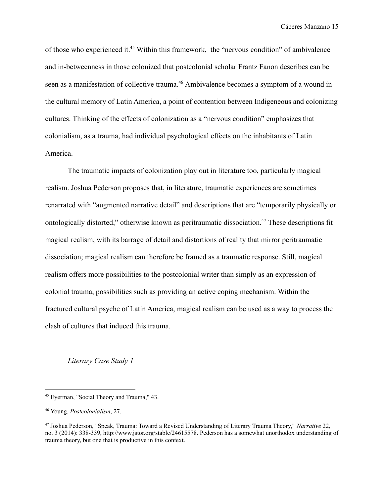of those who experienced it.<sup>45</sup> Within this framework, the "nervous condition" of ambivalence and in-betweenness in those colonized that postcolonial scholar Frantz Fanon describes can be seen as a manifestation of collective trauma.<sup>46</sup> Ambivalence becomes a symptom of a wound in the cultural memory of Latin America, a point of contention between Indigeneous and colonizing cultures. Thinking of the effects of colonization as a "nervous condition" emphasizes that colonialism, as a trauma, had individual psychological effects on the inhabitants of Latin America.

The traumatic impacts of colonization play out in literature too, particularly magical realism. Joshua Pederson proposes that, in literature, traumatic experiences are sometimes renarrated with "augmented narrative detail" and descriptions that are "temporarily physically or ontologically distorted," otherwise known as peritraumatic dissociation.<sup>47</sup> These descriptions fit magical realism, with its barrage of detail and distortions of reality that mirror peritraumatic dissociation; magical realism can therefore be framed as a traumatic response. Still, magical realism offers more possibilities to the postcolonial writer than simply as an expression of colonial trauma, possibilities such as providing an active coping mechanism. Within the fractured cultural psyche of Latin America, magical realism can be used as a way to process the clash of cultures that induced this trauma.

*Literary Case Study 1*

<sup>45</sup> Eyerman, "Social Theory and Trauma," 43.

<sup>46</sup> Young, *Postcolonialism*, 27.

<sup>47</sup> Joshua Pederson, "Speak, Trauma: Toward a Revised Understanding of Literary Trauma Theory," *Narrative* 22, no. 3 (2014): 338-339, http://www.jstor.org/stable/24615578. Pederson has a somewhat unorthodox understanding of trauma theory, but one that is productive in this context.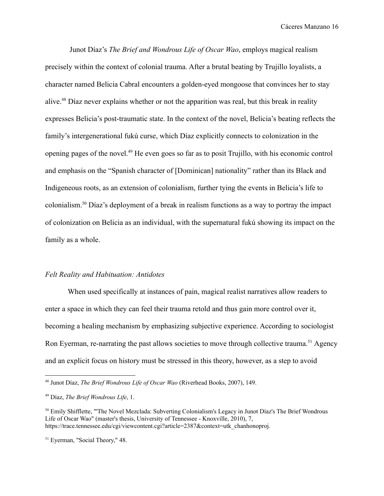Junot Díaz's *The Brief and Wondrous Life of Oscar Wao*, employs magical realism precisely within the context of colonial trauma. After a brutal beating by Trujillo loyalists, a character named Belicia Cabral encounters a golden-eyed mongoose that convinces her to stay alive.<sup>48</sup> Díaz never explains whether or not the apparition was real, but this break in reality expresses Belicia's post-traumatic state. In the context of the novel, Belicia's beating reflects the family's intergenerational fukú curse, which Díaz explicitly connects to colonization in the opening pages of the novel.<sup>49</sup> He even goes so far as to posit Trujillo, with his economic control and emphasis on the "Spanish character of [Dominican] nationality" rather than its Black and Indigeneous roots, as an extension of colonialism, further tying the events in Belicia's life to colonialism.<sup>50</sup> Díaz's deployment of a break in realism functions as a way to portray the impact of colonization on Belicia as an individual, with the supernatural fukú showing its impact on the family as a whole.

#### *Felt Reality and Habituation: Antidotes*

When used specifically at instances of pain, magical realist narratives allow readers to enter a space in which they can feel their trauma retold and thus gain more control over it, becoming a healing mechanism by emphasizing subjective experience. According to sociologist Ron Eyerman, re-narrating the past allows societies to move through collective trauma.<sup>51</sup> Agency and an explicit focus on history must be stressed in this theory, however, as a step to avoid

<sup>48</sup> Junot Díaz, *The Brief Wondrous Life of Oscar Wao* (Riverhead Books, 2007), 149.

<sup>49</sup> Díaz, *The Brief Wondrous Life*, 1.

<sup>50</sup> Emily Shifflette, "'The Novel Mezclada: Subverting Colonialism's Legacy in Junot Díaz's The Brief Wondrous Life of Oscar Wao" (master's thesis, University of Tennessee - Knoxville, 2010), 7, https://trace.tennessee.edu/cgi/viewcontent.cgi?article=2387&context=utk\_chanhonoproj.

<sup>51</sup> Eyerman, "Social Theory," 48.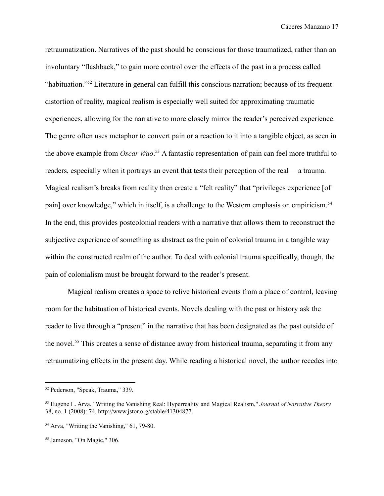retraumatization. Narratives of the past should be conscious for those traumatized, rather than an involuntary "flashback," to gain more control over the effects of the past in a process called "habituation."<sup>52</sup> Literature in general can fulfill this conscious narration; because of its frequent distortion of reality, magical realism is especially well suited for approximating traumatic experiences, allowing for the narrative to more closely mirror the reader's perceived experience. The genre often uses metaphor to convert pain or a reaction to it into a tangible object, as seen in the above example from *Oscar Wao*. <sup>53</sup> A fantastic representation of pain can feel more truthful to readers, especially when it portrays an event that tests their perception of the real— a trauma. Magical realism's breaks from reality then create a "felt reality" that "privileges experience [of pain] over knowledge," which in itself, is a challenge to the Western emphasis on empiricism.<sup>54</sup> In the end, this provides postcolonial readers with a narrative that allows them to reconstruct the subjective experience of something as abstract as the pain of colonial trauma in a tangible way within the constructed realm of the author. To deal with colonial trauma specifically, though, the pain of colonialism must be brought forward to the reader's present.

Magical realism creates a space to relive historical events from a place of control, leaving room for the habituation of historical events. Novels dealing with the past or history ask the reader to live through a "present" in the narrative that has been designated as the past outside of the novel.<sup>55</sup> This creates a sense of distance away from historical trauma, separating it from any retraumatizing effects in the present day. While reading a historical novel, the author recedes into

<sup>52</sup> Pederson, "Speak, Trauma," 339.

<sup>53</sup> Eugene L. Arva, "Writing the Vanishing Real: Hyperreality and Magical Realism," *Journal of Narrative Theory* 38, no. 1 (2008): 74, http://www.jstor.org/stable/41304877.

<sup>54</sup> Arva, "Writing the Vanishing," 61, 79-80.

<sup>55</sup> Jameson, "On Magic," 306.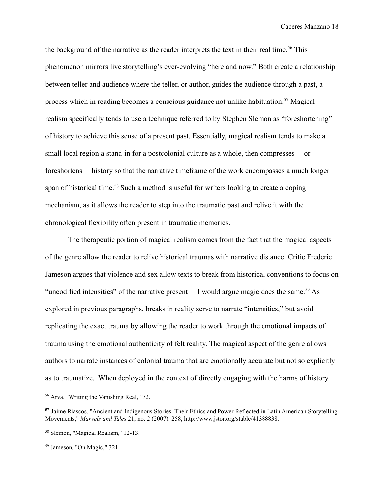the background of the narrative as the reader interprets the text in their real time.<sup>56</sup> This phenomenon mirrors live storytelling's ever-evolving "here and now." Both create a relationship between teller and audience where the teller, or author, guides the audience through a past, a process which in reading becomes a conscious guidance not unlike habituation.<sup>57</sup> Magical realism specifically tends to use a technique referred to by Stephen Slemon as "foreshortening" of history to achieve this sense of a present past. Essentially, magical realism tends to make a small local region a stand-in for a postcolonial culture as a whole, then compresses— or foreshortens— history so that the narrative timeframe of the work encompasses a much longer span of historical time.<sup>58</sup> Such a method is useful for writers looking to create a coping mechanism, as it allows the reader to step into the traumatic past and relive it with the chronological flexibility often present in traumatic memories.

The therapeutic portion of magical realism comes from the fact that the magical aspects of the genre allow the reader to relive historical traumas with narrative distance. Critic Frederic Jameson argues that violence and sex allow texts to break from historical conventions to focus on "uncodified intensities" of the narrative present— I would argue magic does the same.<sup>59</sup> As explored in previous paragraphs, breaks in reality serve to narrate "intensities," but avoid replicating the exact trauma by allowing the reader to work through the emotional impacts of trauma using the emotional authenticity of felt reality. The magical aspect of the genre allows authors to narrate instances of colonial trauma that are emotionally accurate but not so explicitly as to traumatize. When deployed in the context of directly engaging with the harms of history

<sup>56</sup> Arva, "Writing the Vanishing Real," 72.

<sup>57</sup> Jaime Riascos, "Ancient and Indigenous Stories: Their Ethics and Power Reflected in Latin American Storytelling Movements," *Marvels and Tales* 21, no. 2 (2007): 258, http://www.jstor.org/stable/41388838.

<sup>58</sup> Slemon, "Magical Realism," 12-13.

<sup>59</sup> Jameson, "On Magic," 321.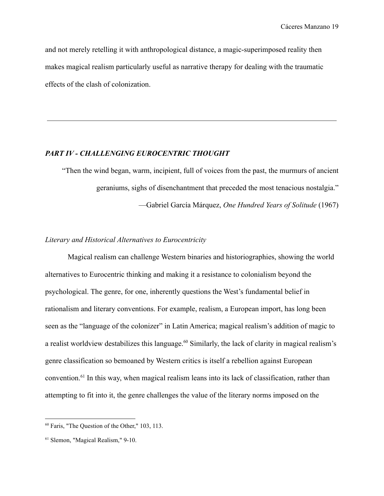and not merely retelling it with anthropological distance, a magic-superimposed reality then makes magical realism particularly useful as narrative therapy for dealing with the traumatic effects of the clash of colonization.

## *PART IV - CHALLENGING EUROCENTRIC THOUGHT*

"Then the wind began, warm, incipient, full of voices from the past, the murmurs of ancient geraniums, sighs of disenchantment that preceded the most tenacious nostalgia." —Gabriel García Márquez, *One Hundred Years of Solitude* (1967)

#### *Literary and Historical Alternatives to Eurocentricity*

Magical realism can challenge Western binaries and historiographies, showing the world alternatives to Eurocentric thinking and making it a resistance to colonialism beyond the psychological. The genre, for one, inherently questions the West's fundamental belief in rationalism and literary conventions. For example, realism, a European import, has long been seen as the "language of the colonizer" in Latin America; magical realism's addition of magic to a realist worldview destabilizes this language.<sup>60</sup> Similarly, the lack of clarity in magical realism's genre classification so bemoaned by Western critics is itself a rebellion against European convention.<sup>61</sup> In this way, when magical realism leans into its lack of classification, rather than attempting to fit into it, the genre challenges the value of the literary norms imposed on the

<sup>60</sup> Faris, "The Question of the Other," 103, 113.

<sup>61</sup> Slemon, "Magical Realism," 9-10.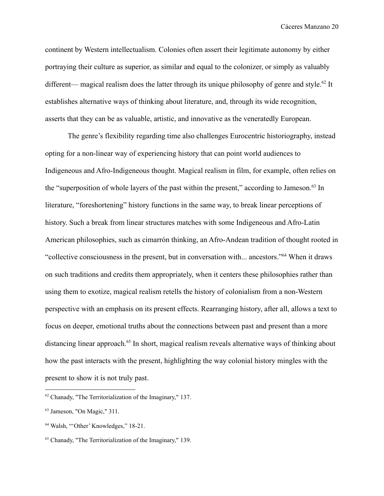continent by Western intellectualism. Colonies often assert their legitimate autonomy by either portraying their culture as superior, as similar and equal to the colonizer, or simply as valuably different— magical realism does the latter through its unique philosophy of genre and style.<sup>62</sup> It establishes alternative ways of thinking about literature, and, through its wide recognition, asserts that they can be as valuable, artistic, and innovative as the veneratedly European.

The genre's flexibility regarding time also challenges Eurocentric historiography, instead opting for a non-linear way of experiencing history that can point world audiences to Indigeneous and Afro-Indigeneous thought. Magical realism in film, for example, often relies on the "superposition of whole layers of the past within the present," according to Jameson.<sup>63</sup> In literature, "foreshortening" history functions in the same way, to break linear perceptions of history. Such a break from linear structures matches with some Indigeneous and Afro-Latin American philosophies, such as cimarrón thinking, an Afro-Andean tradition of thought rooted in "collective consciousness in the present, but in conversation with... ancestors."<sup>64</sup> When it draws on such traditions and credits them appropriately, when it centers these philosophies rather than using them to exotize, magical realism retells the history of colonialism from a non-Western perspective with an emphasis on its present effects. Rearranging history, after all, allows a text to focus on deeper, emotional truths about the connections between past and present than a more distancing linear approach.<sup>65</sup> In short, magical realism reveals alternative ways of thinking about how the past interacts with the present, highlighting the way colonial history mingles with the present to show it is not truly past.

 $62$  Chanady, "The Territorialization of the Imaginary," 137.

<sup>63</sup> Jameson, "On Magic," 311.

<sup>64</sup> Walsh, "'Other' Knowledges," 18-21.

<sup>65</sup> Chanady, "The Territorialization of the Imaginary," 139.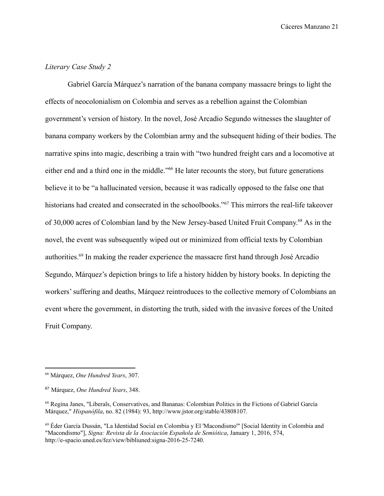### *Literary Case Study 2*

Gabriel García Márquez's narration of the banana company massacre brings to light the effects of neocolonialism on Colombia and serves as a rebellion against the Colombian government's version of history. In the novel, José Arcadio Segundo witnesses the slaughter of banana company workers by the Colombian army and the subsequent hiding of their bodies. The narrative spins into magic, describing a train with "two hundred freight cars and a locomotive at either end and a third one in the middle."<sup>66</sup> He later recounts the story, but future generations believe it to be "a hallucinated version, because it was radically opposed to the false one that historians had created and consecrated in the schoolbooks."<sup>67</sup> This mirrors the real-life takeover of 30,000 acres of Colombian land by the New Jersey-based United Fruit Company. <sup>68</sup> As in the novel, the event was subsequently wiped out or minimized from official texts by Colombian authorities.<sup>69</sup> In making the reader experience the massacre first hand through José Arcadio Segundo, Márquez's depiction brings to life a history hidden by history books. In depicting the workers' suffering and deaths, Márquez reintroduces to the collective memory of Colombians an event where the government, in distorting the truth, sided with the invasive forces of the United Fruit Company.

<sup>66</sup> Márquez, *One Hundred Years*, 307.

<sup>67</sup> Márquez, *One Hundred Years*, 348.

<sup>68</sup> Regina Janes, "Liberals, Conservatives, and Bananas: Colombian Politics in the Fictions of Gabriel García Márquez," *Hispanófila*, no. 82 (1984): 93, http://www.jstor.org/stable/43808107.

<sup>69</sup> Éder García Dussán, "La Identidad Social en Colombia y El 'Macondismo'" [Social Identity in Colombia and "Macondismo"], *Signa: Revista de la Asociación Española de Semiótica*, January 1, 2016, 574, http://e-spacio.uned.es/fez/view/bibliuned:signa-2016-25-7240.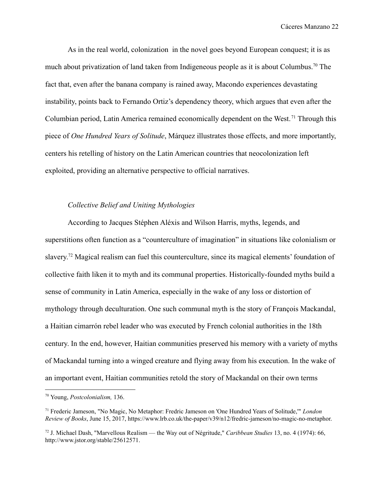As in the real world, colonization in the novel goes beyond European conquest; it is as much about privatization of land taken from Indigeneous people as it is about Columbus.<sup>70</sup> The fact that, even after the banana company is rained away, Macondo experiences devastating instability, points back to Fernando Ortiz's dependency theory, which argues that even after the Columbian period, Latin America remained economically dependent on the West. <sup>71</sup> Through this piece of *One Hundred Years of Solitude*, Márquez illustrates those effects, and more importantly, centers his retelling of history on the Latin American countries that neocolonization left exploited, providing an alternative perspective to official narratives.

### *Collective Belief and Uniting Mythologies*

According to Jacques Stéphen Aléxis and Wilson Harris, myths, legends, and superstitions often function as a "counterculture of imagination" in situations like colonialism or slavery.<sup>72</sup> Magical realism can fuel this counterculture, since its magical elements' foundation of collective faith liken it to myth and its communal properties. Historically-founded myths build a sense of community in Latin America, especially in the wake of any loss or distortion of mythology through deculturation. One such communal myth is the story of François Mackandal, a Haitian cimarrón rebel leader who was executed by French colonial authorities in the 18th century. In the end, however, Haitian communities preserved his memory with a variety of myths of Mackandal turning into a winged creature and flying away from his execution. In the wake of an important event, Haitian communities retold the story of Mackandal on their own terms

<sup>70</sup> Young, *Postcolonialism,* 136.

<sup>71</sup> Frederic Jameson, "No Magic, No Metaphor: Fredric Jameson on 'One Hundred Years of Solitude,'" *London Review of Books*, June 15, 2017, https://www.lrb.co.uk/the-paper/v39/n12/fredric-jameson/no-magic-no-metaphor.

<sup>72</sup> J. Michael Dash, "Marvellous Realism — the Way out of Négritude," *Caribbean Studies* 13, no. 4 (1974): 66, http://www.jstor.org/stable/25612571.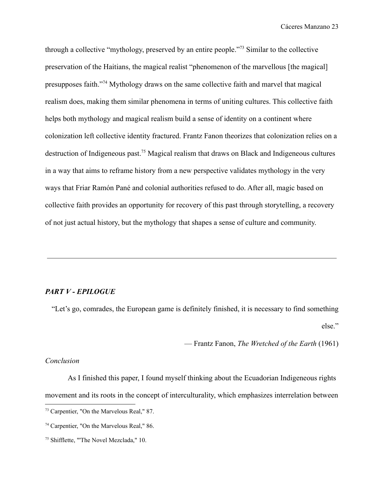through a collective "mythology, preserved by an entire people."<sup>73</sup> Similar to the collective preservation of the Haitians, the magical realist "phenomenon of the marvellous [the magical] presupposes faith."<sup>74</sup> Mythology draws on the same collective faith and marvel that magical realism does, making them similar phenomena in terms of uniting cultures. This collective faith helps both mythology and magical realism build a sense of identity on a continent where colonization left collective identity fractured. Frantz Fanon theorizes that colonization relies on a destruction of Indigeneous past.<sup>75</sup> Magical realism that draws on Black and Indigeneous cultures in a way that aims to reframe history from a new perspective validates mythology in the very ways that Friar Ramón Pané and colonial authorities refused to do. After all, magic based on collective faith provides an opportunity for recovery of this past through storytelling, a recovery of not just actual history, but the mythology that shapes a sense of culture and community.

#### *PART V - EPILOGUE*

"Let's go, comrades, the European game is definitely finished, it is necessary to find something else."

— Frantz Fanon, *The Wretched of the Earth* (1961)

### *Conclusion*

As I finished this paper, I found myself thinking about the Ecuadorian Indigeneous rights movement and its roots in the concept of interculturality, which emphasizes interrelation between

<sup>73</sup> Carpentier, "On the Marvelous Real," 87.

<sup>74</sup> Carpentier, "On the Marvelous Real," 86.

<sup>75</sup> Shifflette, "'The Novel Mezclada," 10.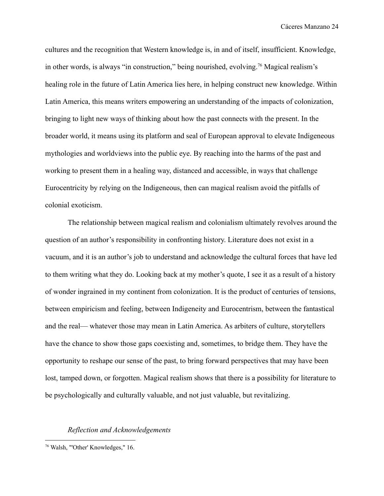cultures and the recognition that Western knowledge is, in and of itself, insufficient. Knowledge, in other words, is always "in construction," being nourished, evolving.<sup>76</sup> Magical realism's healing role in the future of Latin America lies here, in helping construct new knowledge. Within Latin America, this means writers empowering an understanding of the impacts of colonization, bringing to light new ways of thinking about how the past connects with the present. In the broader world, it means using its platform and seal of European approval to elevate Indigeneous mythologies and worldviews into the public eye. By reaching into the harms of the past and working to present them in a healing way, distanced and accessible, in ways that challenge Eurocentricity by relying on the Indigeneous, then can magical realism avoid the pitfalls of colonial exoticism.

The relationship between magical realism and colonialism ultimately revolves around the question of an author's responsibility in confronting history. Literature does not exist in a vacuum, and it is an author's job to understand and acknowledge the cultural forces that have led to them writing what they do. Looking back at my mother's quote, I see it as a result of a history of wonder ingrained in my continent from colonization. It is the product of centuries of tensions, between empiricism and feeling, between Indigeneity and Eurocentrism, between the fantastical and the real— whatever those may mean in Latin America. As arbiters of culture, storytellers have the chance to show those gaps coexisting and, sometimes, to bridge them. They have the opportunity to reshape our sense of the past, to bring forward perspectives that may have been lost, tamped down, or forgotten. Magical realism shows that there is a possibility for literature to be psychologically and culturally valuable, and not just valuable, but revitalizing.

#### *Reflection and Acknowledgements*

<sup>76</sup> Walsh, "'Other' Knowledges," 16.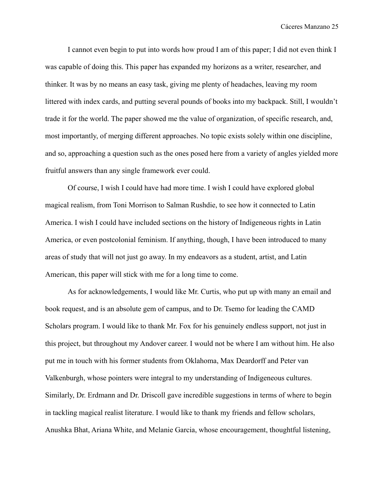I cannot even begin to put into words how proud I am of this paper; I did not even think I was capable of doing this. This paper has expanded my horizons as a writer, researcher, and thinker. It was by no means an easy task, giving me plenty of headaches, leaving my room littered with index cards, and putting several pounds of books into my backpack. Still, I wouldn't trade it for the world. The paper showed me the value of organization, of specific research, and, most importantly, of merging different approaches. No topic exists solely within one discipline, and so, approaching a question such as the ones posed here from a variety of angles yielded more fruitful answers than any single framework ever could.

Of course, I wish I could have had more time. I wish I could have explored global magical realism, from Toni Morrison to Salman Rushdie, to see how it connected to Latin America. I wish I could have included sections on the history of Indigeneous rights in Latin America, or even postcolonial feminism. If anything, though, I have been introduced to many areas of study that will not just go away. In my endeavors as a student, artist, and Latin American, this paper will stick with me for a long time to come.

As for acknowledgements, I would like Mr. Curtis, who put up with many an email and book request, and is an absolute gem of campus, and to Dr. Tsemo for leading the CAMD Scholars program. I would like to thank Mr. Fox for his genuinely endless support, not just in this project, but throughout my Andover career. I would not be where I am without him. He also put me in touch with his former students from Oklahoma, Max Deardorff and Peter van Valkenburgh, whose pointers were integral to my understanding of Indigeneous cultures. Similarly, Dr. Erdmann and Dr. Driscoll gave incredible suggestions in terms of where to begin in tackling magical realist literature. I would like to thank my friends and fellow scholars, Anushka Bhat, Ariana White, and Melanie Garcia, whose encouragement, thoughtful listening,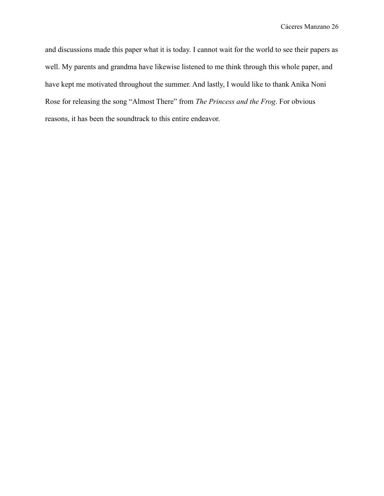and discussions made this paper what it is today. I cannot wait for the world to see their papers as well. My parents and grandma have likewise listened to me think through this whole paper, and have kept me motivated throughout the summer. And lastly, I would like to thank Anika Noni Rose for releasing the song "Almost There" from *The Princess and the Frog*. For obvious reasons, it has been the soundtrack to this entire endeavor.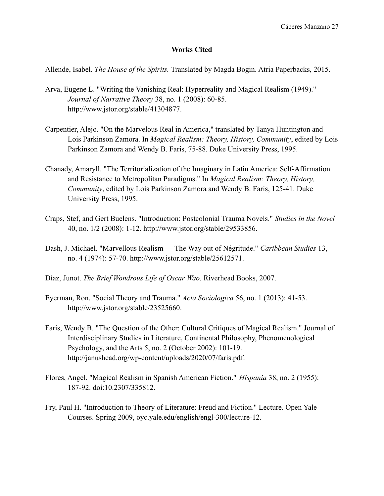### **Works Cited**

Allende, Isabel. *The House of the Spirits.* Translated by Magda Bogin. Atria Paperbacks, 2015.

- Arva, Eugene L. "Writing the Vanishing Real: Hyperreality and Magical Realism (1949)." *Journal of Narrative Theory* 38, no. 1 (2008): 60-85. http://www.jstor.org/stable/41304877.
- Carpentier, Alejo. "On the Marvelous Real in America," translated by Tanya Huntington and Lois Parkinson Zamora. In *Magical Realism: Theory, History, Community*, edited by Lois Parkinson Zamora and Wendy B. Faris, 75-88. Duke University Press, 1995.
- Chanady, Amaryll. "The Territorialization of the Imaginary in Latin America: Self-Affirmation and Resistance to Metropolitan Paradigms." In *Magical Realism: Theory, History, Community*, edited by Lois Parkinson Zamora and Wendy B. Faris, 125-41. Duke University Press, 1995.
- Craps, Stef, and Gert Buelens. "Introduction: Postcolonial Trauma Novels." *Studies in the Novel* 40, no. 1/2 (2008): 1-12. http://www.jstor.org/stable/29533856.
- Dash, J. Michael. "Marvellous Realism The Way out of Négritude." *Caribbean Studies* 13, no. 4 (1974): 57-70. http://www.jstor.org/stable/25612571.
- Díaz, Junot. *The Brief Wondrous Life of Oscar Wao.* Riverhead Books, 2007.
- Eyerman, Ron. "Social Theory and Trauma." *Acta Sociologica* 56, no. 1 (2013): 41-53. http://www.jstor.org/stable/23525660.
- Faris, Wendy B. "The Question of the Other: Cultural Critiques of Magical Realism." Journal of Interdisciplinary Studies in Literature, Continental Philosophy, Phenomenological Psychology, and the Arts 5, no. 2 (October 2002): 101-19. http://janushead.org/wp-content/uploads/2020/07/faris.pdf.
- Flores, Angel. "Magical Realism in Spanish American Fiction." *Hispania* 38, no. 2 (1955): 187-92. doi:10.2307/335812.
- Fry, Paul H. "Introduction to Theory of Literature: Freud and Fiction." Lecture. Open Yale Courses. Spring 2009, oyc.yale.edu/english/engl-300/lecture-12.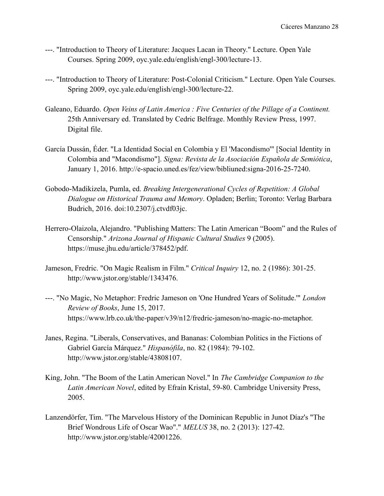- ---. "Introduction to Theory of Literature: Jacques Lacan in Theory." Lecture. Open Yale Courses. Spring 2009, oyc.yale.edu/english/engl-300/lecture-13.
- ---. "Introduction to Theory of Literature: Post-Colonial Criticism." Lecture. Open Yale Courses. Spring 2009, oyc.yale.edu/english/engl-300/lecture-22.
- Galeano, Eduardo. *Open Veins of Latin America : Five Centuries of the Pillage of a Continent.* 25th Anniversary ed. Translated by Cedric Belfrage. Monthly Review Press, 1997. Digital file.
- García Dussán, Éder. "La Identidad Social en Colombia y El 'Macondismo'" [Social Identity in Colombia and "Macondismo"]. *Signa: Revista de la Asociación Española de Semiótica*, January 1, 2016. http://e-spacio.uned.es/fez/view/bibliuned:signa-2016-25-7240.
- Gobodo-Madikizela, Pumla, ed. *Breaking Intergenerational Cycles of Repetition: A Global Dialogue on Historical Trauma and Memory*. Opladen; Berlin; Toronto: Verlag Barbara Budrich, 2016. doi:10.2307/j.ctvdf03jc.
- Herrero-Olaizola, Alejandro. "Publishing Matters: The Latin American "Boom" and the Rules of Censorship." *Arizona Journal of Hispanic Cultural Studies* 9 (2005). https://muse.jhu.edu/article/378452/pdf.
- Jameson, Fredric. "On Magic Realism in Film." *Critical Inquiry* 12, no. 2 (1986): 301-25. http://www.jstor.org/stable/1343476.
- ---. "No Magic, No Metaphor: Fredric Jameson on 'One Hundred Years of Solitude.'" *London Review of Books*, June 15, 2017. https://www.lrb.co.uk/the-paper/v39/n12/fredric-jameson/no-magic-no-metaphor.
- Janes, Regina. "Liberals, Conservatives, and Bananas: Colombian Politics in the Fictions of Gabriel García Márquez." *Hispanófila*, no. 82 (1984): 79-102. http://www.jstor.org/stable/43808107.
- King, John. "The Boom of the Latin American Novel." In *The Cambridge Companion to the Latin American Novel*, edited by Efraín Kristal, 59-80. Cambridge University Press, 2005.
- Lanzendörfer, Tim. "The Marvelous History of the Dominican Republic in Junot Díaz's "The Brief Wondrous Life of Oscar Wao"." *MELUS* 38, no. 2 (2013): 127-42. http://www.jstor.org/stable/42001226.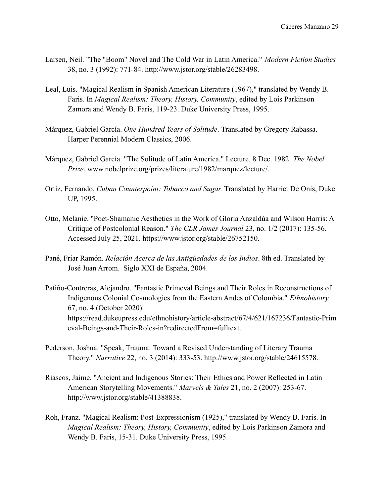- Larsen, Neil. "The "Boom" Novel and The Cold War in Latin America." *Modern Fiction Studies* 38, no. 3 (1992): 771-84. http://www.jstor.org/stable/26283498.
- Leal, Luis. "Magical Realism in Spanish American Literature (1967)," translated by Wendy B. Faris. In *Magical Realism: Theory, History, Community*, edited by Lois Parkinson Zamora and Wendy B. Faris, 119-23. Duke University Press, 1995.
- Márquez, Gabriel García. *One Hundred Years of Solitude*. Translated by Gregory Rabassa. Harper Perennial Modern Classics, 2006.
- Márquez, Gabriel García. "The Solitude of Latin America." Lecture. 8 Dec. 1982. *The Nobel Prize*, www.nobelprize.org/prizes/literature/1982/marquez/lecture/.
- Ortiz, Fernando. *Cuban Counterpoint: Tobacco and Sugar.* Translated by Harriet De Onís, Duke UP, 1995.
- Otto, Melanie. "Poet-Shamanic Aesthetics in the Work of Gloria Anzaldúa and Wilson Harris: A Critique of Postcolonial Reason." *The CLR James Journal* 23, no. 1/2 (2017): 135-56. Accessed July 25, 2021. https://www.jstor.org/stable/26752150.
- Pané, Friar Ramón. *Relación Acerca de las Antigüedades de los Indios*. 8th ed. Translated by José Juan Arrom. Siglo XXI de España, 2004.
- Patiño-Contreras, Alejandro. "Fantastic Primeval Beings and Their Roles in Reconstructions of Indigenous Colonial Cosmologies from the Eastern Andes of Colombia." *Ethnohistory* 67, no. 4 (October 2020). https://read.dukeupress.edu/ethnohistory/article-abstract/67/4/621/167236/Fantastic-Prim eval-Beings-and-Their-Roles-in?redirectedFrom=fulltext.
- Pederson, Joshua. "Speak, Trauma: Toward a Revised Understanding of Literary Trauma Theory." *Narrative* 22, no. 3 (2014): 333-53. http://www.jstor.org/stable/24615578.
- Riascos, Jaime. "Ancient and Indigenous Stories: Their Ethics and Power Reflected in Latin American Storytelling Movements." *Marvels & Tales* 21, no. 2 (2007): 253-67. http://www.jstor.org/stable/41388838.
- Roh, Franz. "Magical Realism: Post-Expressionism (1925)," translated by Wendy B. Faris. In *Magical Realism: Theory, History, Community*, edited by Lois Parkinson Zamora and Wendy B. Faris, 15-31. Duke University Press, 1995.